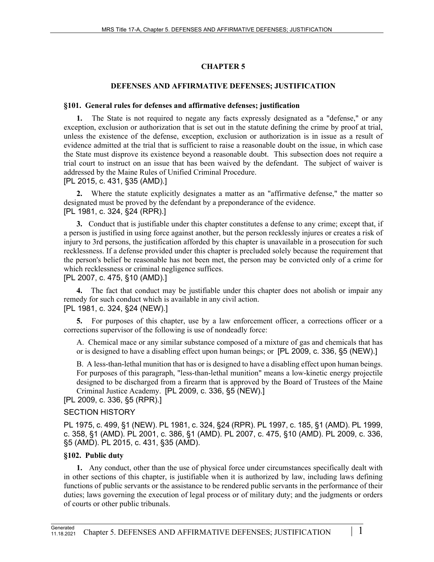# **CHAPTER 5**

# **DEFENSES AND AFFIRMATIVE DEFENSES; JUSTIFICATION**

## **§101. General rules for defenses and affirmative defenses; justification**

The State is not required to negate any facts expressly designated as a "defense," or any exception, exclusion or authorization that is set out in the statute defining the crime by proof at trial, unless the existence of the defense, exception, exclusion or authorization is in issue as a result of evidence admitted at the trial that is sufficient to raise a reasonable doubt on the issue, in which case the State must disprove its existence beyond a reasonable doubt. This subsection does not require a trial court to instruct on an issue that has been waived by the defendant. The subject of waiver is addressed by the Maine Rules of Unified Criminal Procedure.

[PL 2015, c. 431, §35 (AMD).]

**2.** Where the statute explicitly designates a matter as an "affirmative defense," the matter so designated must be proved by the defendant by a preponderance of the evidence. [PL 1981, c. 324, §24 (RPR).]

**3.** Conduct that is justifiable under this chapter constitutes a defense to any crime; except that, if a person is justified in using force against another, but the person recklessly injures or creates a risk of injury to 3rd persons, the justification afforded by this chapter is unavailable in a prosecution for such recklessness. If a defense provided under this chapter is precluded solely because the requirement that the person's belief be reasonable has not been met, the person may be convicted only of a crime for which recklessness or criminal negligence suffices.

[PL 2007, c. 475, §10 (AMD).]

**4.** The fact that conduct may be justifiable under this chapter does not abolish or impair any remedy for such conduct which is available in any civil action. [PL 1981, c. 324, §24 (NEW).]

**5.** For purposes of this chapter, use by a law enforcement officer, a corrections officer or a corrections supervisor of the following is use of nondeadly force:

A. Chemical mace or any similar substance composed of a mixture of gas and chemicals that has or is designed to have a disabling effect upon human beings; or [PL 2009, c. 336, §5 (NEW).]

B. A less-than-lethal munition that has or is designed to have a disabling effect upon human beings. For purposes of this paragraph, "less-than-lethal munition" means a low-kinetic energy projectile designed to be discharged from a firearm that is approved by the Board of Trustees of the Maine Criminal Justice Academy. [PL 2009, c. 336, §5 (NEW).]

[PL 2009, c. 336, §5 (RPR).]

# SECTION HISTORY

PL 1975, c. 499, §1 (NEW). PL 1981, c. 324, §24 (RPR). PL 1997, c. 185, §1 (AMD). PL 1999, c. 358, §1 (AMD). PL 2001, c. 386, §1 (AMD). PL 2007, c. 475, §10 (AMD). PL 2009, c. 336, §5 (AMD). PL 2015, c. 431, §35 (AMD).

# **§102. Public duty**

**1.** Any conduct, other than the use of physical force under circumstances specifically dealt with in other sections of this chapter, is justifiable when it is authorized by law, including laws defining functions of public servants or the assistance to be rendered public servants in the performance of their duties; laws governing the execution of legal process or of military duty; and the judgments or orders of courts or other public tribunals.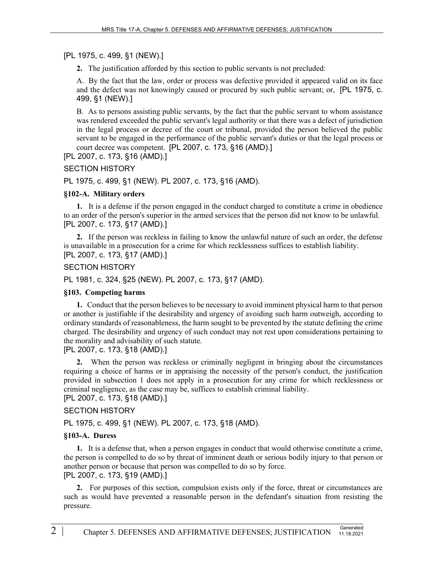[PL 1975, c. 499, §1 (NEW).]

**2.** The justification afforded by this section to public servants is not precluded:

A. By the fact that the law, order or process was defective provided it appeared valid on its face and the defect was not knowingly caused or procured by such public servant; or, [PL 1975, c. 499, §1 (NEW).]

B. As to persons assisting public servants, by the fact that the public servant to whom assistance was rendered exceeded the public servant's legal authority or that there was a defect of jurisdiction in the legal process or decree of the court or tribunal, provided the person believed the public servant to be engaged in the performance of the public servant's duties or that the legal process or court decree was competent. [PL 2007, c. 173, §16 (AMD).]

[PL 2007, c. 173, §16 (AMD).]

# SECTION HISTORY

PL 1975, c. 499, §1 (NEW). PL 2007, c. 173, §16 (AMD).

# **§102-A. Military orders**

**1.** It is a defense if the person engaged in the conduct charged to constitute a crime in obedience to an order of the person's superior in the armed services that the person did not know to be unlawful. [PL 2007, c. 173, §17 (AMD).]

**2.** If the person was reckless in failing to know the unlawful nature of such an order, the defense is unavailable in a prosecution for a crime for which recklessness suffices to establish liability. [PL 2007, c. 173, §17 (AMD).]

# SECTION HISTORY

PL 1981, c. 324, §25 (NEW). PL 2007, c. 173, §17 (AMD).

## **§103. Competing harms**

**1.** Conduct that the person believes to be necessary to avoid imminent physical harm to that person or another is justifiable if the desirability and urgency of avoiding such harm outweigh, according to ordinary standards of reasonableness, the harm sought to be prevented by the statute defining the crime charged. The desirability and urgency of such conduct may not rest upon considerations pertaining to the morality and advisability of such statute.

[PL 2007, c. 173, §18 (AMD).]

**2.** When the person was reckless or criminally negligent in bringing about the circumstances requiring a choice of harms or in appraising the necessity of the person's conduct, the justification provided in subsection 1 does not apply in a prosecution for any crime for which recklessness or criminal negligence, as the case may be, suffices to establish criminal liability.

[PL 2007, c. 173, §18 (AMD).]

# SECTION HISTORY

PL 1975, c. 499, §1 (NEW). PL 2007, c. 173, §18 (AMD).

# **§103-A. Duress**

**1.** It is a defense that, when a person engages in conduct that would otherwise constitute a crime, the person is compelled to do so by threat of imminent death or serious bodily injury to that person or another person or because that person was compelled to do so by force. [PL 2007, c. 173, §19 (AMD).]

**2.** For purposes of this section, compulsion exists only if the force, threat or circumstances are such as would have prevented a reasonable person in the defendant's situation from resisting the pressure.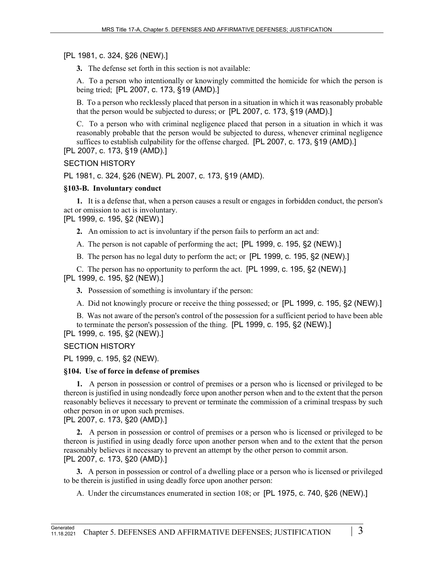# [PL 1981, c. 324, §26 (NEW).]

**3.** The defense set forth in this section is not available:

A. To a person who intentionally or knowingly committed the homicide for which the person is being tried; [PL 2007, c. 173, §19 (AMD).]

B. To a person who recklessly placed that person in a situation in which it was reasonably probable that the person would be subjected to duress; or [PL 2007, c. 173, §19 (AMD).]

C. To a person who with criminal negligence placed that person in a situation in which it was reasonably probable that the person would be subjected to duress, whenever criminal negligence suffices to establish culpability for the offense charged. [PL 2007, c. 173, §19 (AMD).]

[PL 2007, c. 173, §19 (AMD).]

# SECTION HISTORY

PL 1981, c. 324, §26 (NEW). PL 2007, c. 173, §19 (AMD).

# **§103-B. Involuntary conduct**

**1.** It is a defense that, when a person causes a result or engages in forbidden conduct, the person's act or omission to act is involuntary.

[PL 1999, c. 195, §2 (NEW).]

**2.** An omission to act is involuntary if the person fails to perform an act and:

A. The person is not capable of performing the act; [PL 1999, c. 195, §2 (NEW).]

B. The person has no legal duty to perform the act; or [PL 1999, c. 195, §2 (NEW).]

C. The person has no opportunity to perform the act. [PL 1999, c. 195, §2 (NEW).]

[PL 1999, c. 195, §2 (NEW).]

**3.** Possession of something is involuntary if the person:

A. Did not knowingly procure or receive the thing possessed; or [PL 1999, c. 195, §2 (NEW).]

B. Was not aware of the person's control of the possession for a sufficient period to have been able to terminate the person's possession of the thing. [PL 1999, c. 195, §2 (NEW).]

[PL 1999, c. 195, §2 (NEW).]

# SECTION HISTORY

PL 1999, c. 195, §2 (NEW).

## **§104. Use of force in defense of premises**

**1.** A person in possession or control of premises or a person who is licensed or privileged to be thereon is justified in using nondeadly force upon another person when and to the extent that the person reasonably believes it necessary to prevent or terminate the commission of a criminal trespass by such other person in or upon such premises.

[PL 2007, c. 173, §20 (AMD).]

**2.** A person in possession or control of premises or a person who is licensed or privileged to be thereon is justified in using deadly force upon another person when and to the extent that the person reasonably believes it necessary to prevent an attempt by the other person to commit arson. [PL 2007, c. 173, §20 (AMD).]

**3.** A person in possession or control of a dwelling place or a person who is licensed or privileged to be therein is justified in using deadly force upon another person:

A. Under the circumstances enumerated in section 108; or [PL 1975, c. 740, §26 (NEW).]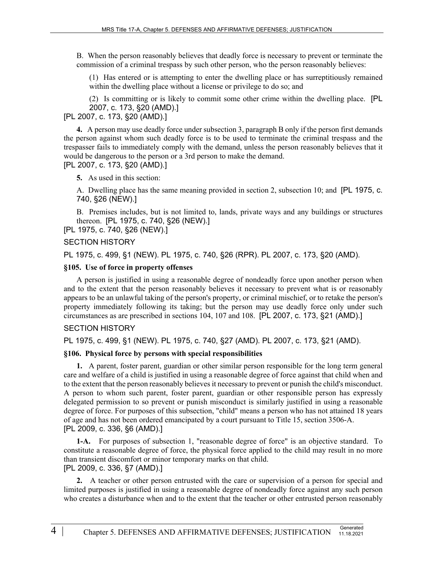B. When the person reasonably believes that deadly force is necessary to prevent or terminate the commission of a criminal trespass by such other person, who the person reasonably believes:

(1) Has entered or is attempting to enter the dwelling place or has surreptitiously remained within the dwelling place without a license or privilege to do so; and

(2) Is committing or is likely to commit some other crime within the dwelling place. [PL 2007, c. 173, §20 (AMD).]

[PL 2007, c. 173, §20 (AMD).]

**4.** A person may use deadly force under subsection 3, paragraph B only if the person first demands the person against whom such deadly force is to be used to terminate the criminal trespass and the trespasser fails to immediately comply with the demand, unless the person reasonably believes that it would be dangerous to the person or a 3rd person to make the demand. [PL 2007, c. 173, §20 (AMD).]

**5.** As used in this section:

A. Dwelling place has the same meaning provided in section 2, subsection 10; and [PL 1975, c. 740, §26 (NEW).]

B. Premises includes, but is not limited to, lands, private ways and any buildings or structures thereon. [PL 1975, c. 740, §26 (NEW).]

[PL 1975, c. 740, §26 (NEW).]

#### SECTION HISTORY

PL 1975, c. 499, §1 (NEW). PL 1975, c. 740, §26 (RPR). PL 2007, c. 173, §20 (AMD).

#### **§105. Use of force in property offenses**

A person is justified in using a reasonable degree of nondeadly force upon another person when and to the extent that the person reasonably believes it necessary to prevent what is or reasonably appears to be an unlawful taking of the person's property, or criminal mischief, or to retake the person's property immediately following its taking; but the person may use deadly force only under such circumstances as are prescribed in sections 104, 107 and 108. [PL 2007, c. 173, §21 (AMD).]

## SECTION HISTORY

PL 1975, c. 499, §1 (NEW). PL 1975, c. 740, §27 (AMD). PL 2007, c. 173, §21 (AMD).

#### **§106. Physical force by persons with special responsibilities**

**1.** A parent, foster parent, guardian or other similar person responsible for the long term general care and welfare of a child is justified in using a reasonable degree of force against that child when and to the extent that the person reasonably believes it necessary to prevent or punish the child's misconduct. A person to whom such parent, foster parent, guardian or other responsible person has expressly delegated permission to so prevent or punish misconduct is similarly justified in using a reasonable degree of force. For purposes of this subsection, "child" means a person who has not attained 18 years of age and has not been ordered emancipated by a court pursuant to Title 15, section 3506-A. [PL 2009, c. 336, §6 (AMD).]

**1-A.** For purposes of subsection 1, "reasonable degree of force" is an objective standard. To constitute a reasonable degree of force, the physical force applied to the child may result in no more than transient discomfort or minor temporary marks on that child. [PL 2009, c. 336, §7 (AMD).]

**2.** A teacher or other person entrusted with the care or supervision of a person for special and limited purposes is justified in using a reasonable degree of nondeadly force against any such person who creates a disturbance when and to the extent that the teacher or other entrusted person reasonably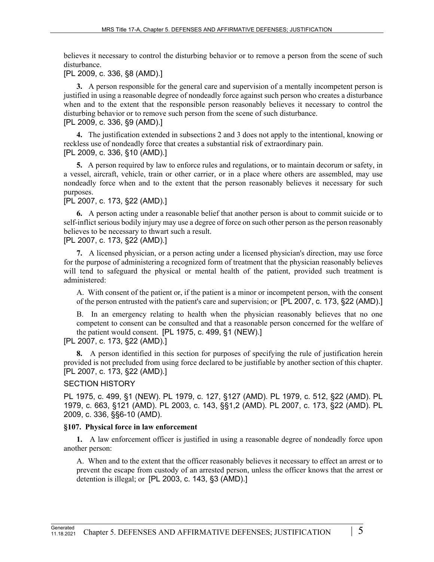believes it necessary to control the disturbing behavior or to remove a person from the scene of such disturbance.

[PL 2009, c. 336, §8 (AMD).]

**3.** A person responsible for the general care and supervision of a mentally incompetent person is justified in using a reasonable degree of nondeadly force against such person who creates a disturbance when and to the extent that the responsible person reasonably believes it necessary to control the disturbing behavior or to remove such person from the scene of such disturbance. [PL 2009, c. 336, §9 (AMD).]

**4.** The justification extended in subsections 2 and 3 does not apply to the intentional, knowing or reckless use of nondeadly force that creates a substantial risk of extraordinary pain. [PL 2009, c. 336, §10 (AMD).]

**5.** A person required by law to enforce rules and regulations, or to maintain decorum or safety, in a vessel, aircraft, vehicle, train or other carrier, or in a place where others are assembled, may use nondeadly force when and to the extent that the person reasonably believes it necessary for such purposes.

[PL 2007, c. 173, §22 (AMD).]

**6.** A person acting under a reasonable belief that another person is about to commit suicide or to self-inflict serious bodily injury may use a degree of force on such other person as the person reasonably believes to be necessary to thwart such a result.

[PL 2007, c. 173, §22 (AMD).]

**7.** A licensed physician, or a person acting under a licensed physician's direction, may use force for the purpose of administering a recognized form of treatment that the physician reasonably believes will tend to safeguard the physical or mental health of the patient, provided such treatment is administered:

A. With consent of the patient or, if the patient is a minor or incompetent person, with the consent of the person entrusted with the patient's care and supervision; or [PL 2007, c. 173, §22 (AMD).]

B. In an emergency relating to health when the physician reasonably believes that no one competent to consent can be consulted and that a reasonable person concerned for the welfare of the patient would consent. [PL 1975, c. 499, §1 (NEW).]

[PL 2007, c. 173, §22 (AMD).]

**8.** A person identified in this section for purposes of specifying the rule of justification herein provided is not precluded from using force declared to be justifiable by another section of this chapter. [PL 2007, c. 173, §22 (AMD).]

# SECTION HISTORY

PL 1975, c. 499, §1 (NEW). PL 1979, c. 127, §127 (AMD). PL 1979, c. 512, §22 (AMD). PL 1979, c. 663, §121 (AMD). PL 2003, c. 143, §§1,2 (AMD). PL 2007, c. 173, §22 (AMD). PL 2009, c. 336, §§6-10 (AMD).

# **§107. Physical force in law enforcement**

**1.** A law enforcement officer is justified in using a reasonable degree of nondeadly force upon another person:

A. When and to the extent that the officer reasonably believes it necessary to effect an arrest or to prevent the escape from custody of an arrested person, unless the officer knows that the arrest or detention is illegal; or [PL 2003, c. 143, §3 (AMD).]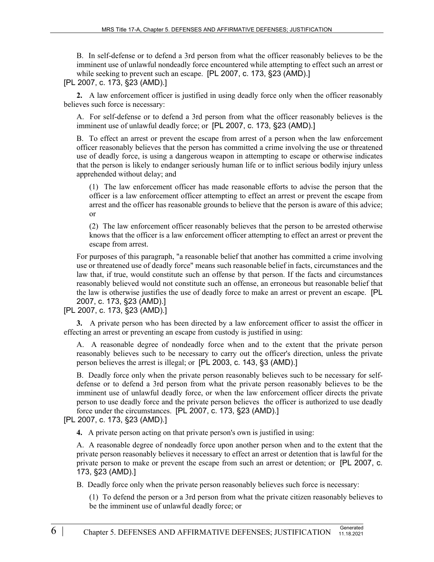B. In self-defense or to defend a 3rd person from what the officer reasonably believes to be the imminent use of unlawful nondeadly force encountered while attempting to effect such an arrest or while seeking to prevent such an escape. [PL 2007, c. 173, §23 (AMD).]

[PL 2007, c. 173, §23 (AMD).]

**2.** A law enforcement officer is justified in using deadly force only when the officer reasonably believes such force is necessary:

A. For self-defense or to defend a 3rd person from what the officer reasonably believes is the imminent use of unlawful deadly force; or [PL 2007, c. 173, §23 (AMD).]

B. To effect an arrest or prevent the escape from arrest of a person when the law enforcement officer reasonably believes that the person has committed a crime involving the use or threatened use of deadly force, is using a dangerous weapon in attempting to escape or otherwise indicates that the person is likely to endanger seriously human life or to inflict serious bodily injury unless apprehended without delay; and

(1) The law enforcement officer has made reasonable efforts to advise the person that the officer is a law enforcement officer attempting to effect an arrest or prevent the escape from arrest and the officer has reasonable grounds to believe that the person is aware of this advice; or

(2) The law enforcement officer reasonably believes that the person to be arrested otherwise knows that the officer is a law enforcement officer attempting to effect an arrest or prevent the escape from arrest.

For purposes of this paragraph, "a reasonable belief that another has committed a crime involving use or threatened use of deadly force" means such reasonable belief in facts, circumstances and the law that, if true, would constitute such an offense by that person. If the facts and circumstances reasonably believed would not constitute such an offense, an erroneous but reasonable belief that the law is otherwise justifies the use of deadly force to make an arrest or prevent an escape. [PL 2007, c. 173, §23 (AMD).]

# [PL 2007, c. 173, §23 (AMD).]

**3.** A private person who has been directed by a law enforcement officer to assist the officer in effecting an arrest or preventing an escape from custody is justified in using:

A. A reasonable degree of nondeadly force when and to the extent that the private person reasonably believes such to be necessary to carry out the officer's direction, unless the private person believes the arrest is illegal; or [PL 2003, c. 143, §3 (AMD).]

B. Deadly force only when the private person reasonably believes such to be necessary for selfdefense or to defend a 3rd person from what the private person reasonably believes to be the imminent use of unlawful deadly force, or when the law enforcement officer directs the private person to use deadly force and the private person believes the officer is authorized to use deadly force under the circumstances. [PL 2007, c. 173, §23 (AMD).]

[PL 2007, c. 173, §23 (AMD).]

**4.** A private person acting on that private person's own is justified in using:

A. A reasonable degree of nondeadly force upon another person when and to the extent that the private person reasonably believes it necessary to effect an arrest or detention that is lawful for the private person to make or prevent the escape from such an arrest or detention; or [PL 2007, c. 173, §23 (AMD).]

B. Deadly force only when the private person reasonably believes such force is necessary:

(1) To defend the person or a 3rd person from what the private citizen reasonably believes to be the imminent use of unlawful deadly force; or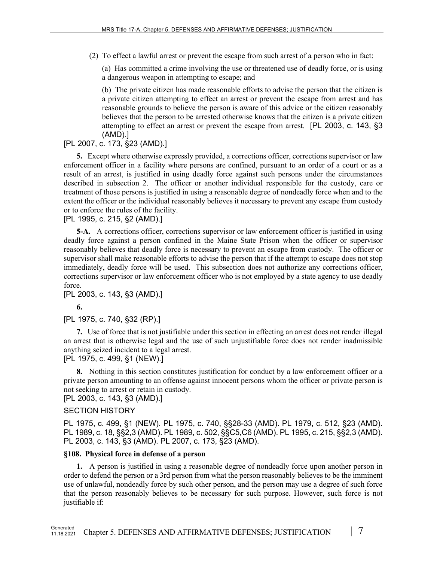(2) To effect a lawful arrest or prevent the escape from such arrest of a person who in fact:

(a) Has committed a crime involving the use or threatened use of deadly force, or is using a dangerous weapon in attempting to escape; and

(b) The private citizen has made reasonable efforts to advise the person that the citizen is a private citizen attempting to effect an arrest or prevent the escape from arrest and has reasonable grounds to believe the person is aware of this advice or the citizen reasonably believes that the person to be arrested otherwise knows that the citizen is a private citizen attempting to effect an arrest or prevent the escape from arrest. [PL 2003, c. 143, §3 (AMD).]

# [PL 2007, c. 173, §23 (AMD).]

**5.** Except where otherwise expressly provided, a corrections officer, corrections supervisor or law enforcement officer in a facility where persons are confined, pursuant to an order of a court or as a result of an arrest, is justified in using deadly force against such persons under the circumstances described in subsection 2. The officer or another individual responsible for the custody, care or treatment of those persons is justified in using a reasonable degree of nondeadly force when and to the extent the officer or the individual reasonably believes it necessary to prevent any escape from custody or to enforce the rules of the facility.

[PL 1995, c. 215, §2 (AMD).]

**5-A.** A corrections officer, corrections supervisor or law enforcement officer is justified in using deadly force against a person confined in the Maine State Prison when the officer or supervisor reasonably believes that deadly force is necessary to prevent an escape from custody. The officer or supervisor shall make reasonable efforts to advise the person that if the attempt to escape does not stop immediately, deadly force will be used. This subsection does not authorize any corrections officer, corrections supervisor or law enforcement officer who is not employed by a state agency to use deadly force.

[PL 2003, c. 143, §3 (AMD).]

**6.** 

## [PL 1975, c. 740, §32 (RP).]

**7.** Use of force that is not justifiable under this section in effecting an arrest does not render illegal an arrest that is otherwise legal and the use of such unjustifiable force does not render inadmissible anything seized incident to a legal arrest.

# [PL 1975, c. 499, §1 (NEW).]

**8.** Nothing in this section constitutes justification for conduct by a law enforcement officer or a private person amounting to an offense against innocent persons whom the officer or private person is not seeking to arrest or retain in custody.

[PL 2003, c. 143, §3 (AMD).]

## SECTION HISTORY

PL 1975, c. 499, §1 (NEW). PL 1975, c. 740, §§28-33 (AMD). PL 1979, c. 512, §23 (AMD). PL 1989, c. 18, §§2,3 (AMD). PL 1989, c. 502, §§C5,C6 (AMD). PL 1995, c. 215, §§2,3 (AMD). PL 2003, c. 143, §3 (AMD). PL 2007, c. 173, §23 (AMD).

## **§108. Physical force in defense of a person**

**1.** A person is justified in using a reasonable degree of nondeadly force upon another person in order to defend the person or a 3rd person from what the person reasonably believes to be the imminent use of unlawful, nondeadly force by such other person, and the person may use a degree of such force that the person reasonably believes to be necessary for such purpose. However, such force is not justifiable if: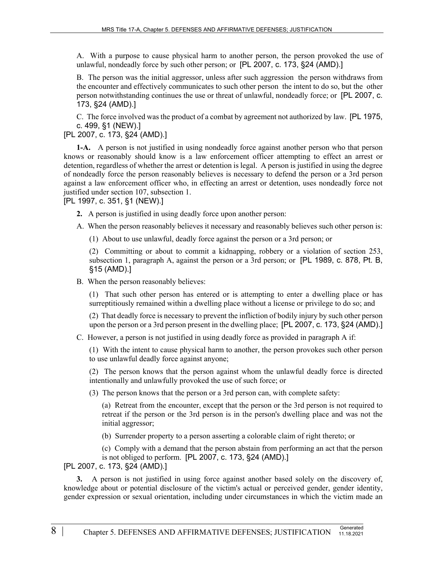A. With a purpose to cause physical harm to another person, the person provoked the use of unlawful, nondeadly force by such other person; or [PL 2007, c. 173, §24 (AMD).]

B. The person was the initial aggressor, unless after such aggression the person withdraws from the encounter and effectively communicates to such other person the intent to do so, but the other person notwithstanding continues the use or threat of unlawful, nondeadly force; or [PL 2007, c. 173, §24 (AMD).]

C. The force involved was the product of a combat by agreement not authorized by law. [PL 1975, c. 499, §1 (NEW).]

# [PL 2007, c. 173, §24 (AMD).]

**1-A.** A person is not justified in using nondeadly force against another person who that person knows or reasonably should know is a law enforcement officer attempting to effect an arrest or detention, regardless of whether the arrest or detention is legal. A person is justified in using the degree of nondeadly force the person reasonably believes is necessary to defend the person or a 3rd person against a law enforcement officer who, in effecting an arrest or detention, uses nondeadly force not justified under section 107, subsection 1.

[PL 1997, c. 351, §1 (NEW).]

- **2.** A person is justified in using deadly force upon another person:
- A. When the person reasonably believes it necessary and reasonably believes such other person is:
	- (1) About to use unlawful, deadly force against the person or a 3rd person; or

(2) Committing or about to commit a kidnapping, robbery or a violation of section 253, subsection 1, paragraph A, against the person or a 3rd person; or [PL 1989, c. 878, Pt. B, §15 (AMD).]

B. When the person reasonably believes:

(1) That such other person has entered or is attempting to enter a dwelling place or has surreptitiously remained within a dwelling place without a license or privilege to do so; and

(2) That deadly force is necessary to prevent the infliction of bodily injury by such other person upon the person or a 3rd person present in the dwelling place; [PL 2007, c. 173, §24 (AMD).]

C. However, a person is not justified in using deadly force as provided in paragraph A if:

(1) With the intent to cause physical harm to another, the person provokes such other person to use unlawful deadly force against anyone;

(2) The person knows that the person against whom the unlawful deadly force is directed intentionally and unlawfully provoked the use of such force; or

(3) The person knows that the person or a 3rd person can, with complete safety:

(a) Retreat from the encounter, except that the person or the 3rd person is not required to retreat if the person or the 3rd person is in the person's dwelling place and was not the initial aggressor;

(b) Surrender property to a person asserting a colorable claim of right thereto; or

(c) Comply with a demand that the person abstain from performing an act that the person is not obliged to perform. [PL 2007, c. 173, §24 (AMD).]

[PL 2007, c. 173, §24 (AMD).]

**3.** A person is not justified in using force against another based solely on the discovery of, knowledge about or potential disclosure of the victim's actual or perceived gender, gender identity, gender expression or sexual orientation, including under circumstances in which the victim made an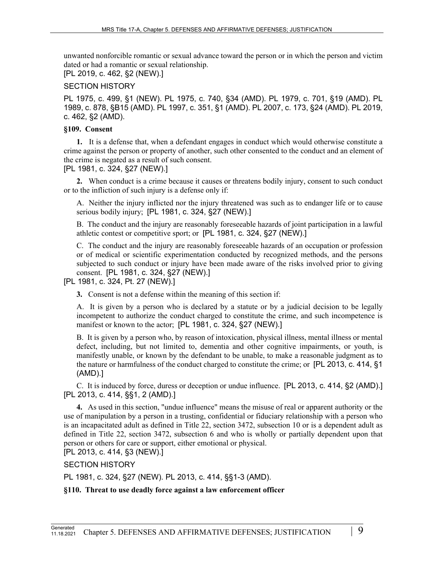unwanted nonforcible romantic or sexual advance toward the person or in which the person and victim dated or had a romantic or sexual relationship.

[PL 2019, c. 462, §2 (NEW).]

# SECTION HISTORY

PL 1975, c. 499, §1 (NEW). PL 1975, c. 740, §34 (AMD). PL 1979, c. 701, §19 (AMD). PL 1989, c. 878, §B15 (AMD). PL 1997, c. 351, §1 (AMD). PL 2007, c. 173, §24 (AMD). PL 2019, c. 462, §2 (AMD).

# **§109. Consent**

**1.** It is a defense that, when a defendant engages in conduct which would otherwise constitute a crime against the person or property of another, such other consented to the conduct and an element of the crime is negated as a result of such consent.

[PL 1981, c. 324, §27 (NEW).]

**2.** When conduct is a crime because it causes or threatens bodily injury, consent to such conduct or to the infliction of such injury is a defense only if:

A. Neither the injury inflicted nor the injury threatened was such as to endanger life or to cause serious bodily injury; [PL 1981, c. 324, §27 (NEW).]

B. The conduct and the injury are reasonably foreseeable hazards of joint participation in a lawful athletic contest or competitive sport; or [PL 1981, c. 324, §27 (NEW).]

C. The conduct and the injury are reasonably foreseeable hazards of an occupation or profession or of medical or scientific experimentation conducted by recognized methods, and the persons subjected to such conduct or injury have been made aware of the risks involved prior to giving consent. [PL 1981, c. 324, §27 (NEW).]

[PL 1981, c. 324, Pt. 27 (NEW).]

**3.** Consent is not a defense within the meaning of this section if:

A. It is given by a person who is declared by a statute or by a judicial decision to be legally incompetent to authorize the conduct charged to constitute the crime, and such incompetence is manifest or known to the actor; [PL 1981, c. 324, §27 (NEW).]

B. It is given by a person who, by reason of intoxication, physical illness, mental illness or mental defect, including, but not limited to, dementia and other cognitive impairments, or youth, is manifestly unable, or known by the defendant to be unable, to make a reasonable judgment as to the nature or harmfulness of the conduct charged to constitute the crime; or [PL 2013, c. 414, §1 (AMD).]

C. It is induced by force, duress or deception or undue influence. [PL 2013, c. 414, §2 (AMD).] [PL 2013, c. 414, §§1, 2 (AMD).]

**4.** As used in this section, "undue influence" means the misuse of real or apparent authority or the use of manipulation by a person in a trusting, confidential or fiduciary relationship with a person who is an incapacitated adult as defined in Title 22, section 3472, subsection 10 or is a dependent adult as defined in Title 22, section 3472, subsection 6 and who is wholly or partially dependent upon that person or others for care or support, either emotional or physical.

[PL 2013, c. 414, §3 (NEW).]

SECTION HISTORY

PL 1981, c. 324, §27 (NEW). PL 2013, c. 414, §§1-3 (AMD).

**§110. Threat to use deadly force against a law enforcement officer**